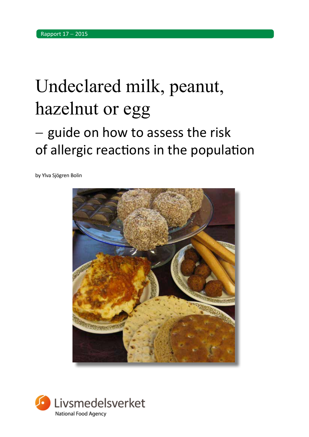# Undeclared milk, peanut, hazelnut or egg

# - guide on how to assess the risk of allergic reactions in the population

by Ylva Sjögren Bolin



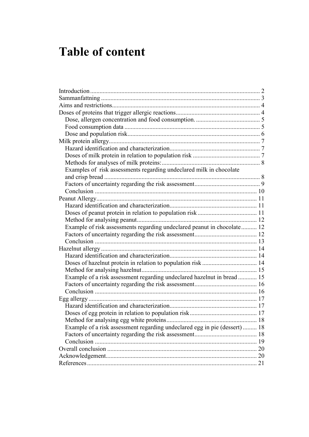### **Table of content**

<span id="page-1-0"></span>

| Examples of risk assessments regarding undeclared milk in chocolate       |  |
|---------------------------------------------------------------------------|--|
|                                                                           |  |
|                                                                           |  |
|                                                                           |  |
|                                                                           |  |
|                                                                           |  |
|                                                                           |  |
|                                                                           |  |
| Example of risk assessments regarding undeclared peanut in chocolate 12   |  |
|                                                                           |  |
|                                                                           |  |
|                                                                           |  |
|                                                                           |  |
|                                                                           |  |
|                                                                           |  |
| Example of a risk assessment regarding undeclared hazelnut in bread  15   |  |
|                                                                           |  |
|                                                                           |  |
|                                                                           |  |
|                                                                           |  |
|                                                                           |  |
|                                                                           |  |
| Example of a risk assessment regarding undeclared egg in pie (dessert) 18 |  |
|                                                                           |  |
|                                                                           |  |
|                                                                           |  |
|                                                                           |  |
|                                                                           |  |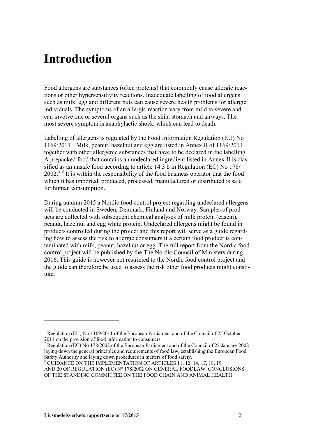### **Introduction**

Food allergens are substances (often proteins) that commonly cause allergic reactions or other hypersensitivity reactions. Inadequate labelling of food allergens such as milk, egg and different nuts can cause severe health problems for allergic individuals. The symptoms of an allergic reaction vary from mild to severe and can involve one or several organs such as the skin, stomach and airways. The most severe symptom is anaphylactic shock, which can lead to death.

Labelling of allergens is regulated by the Food Information Regulation (EU) No  $1169/2011<sup>1</sup>$  $1169/2011<sup>1</sup>$ . Milk, peanut, hazelnut and egg are listed in Annex II of  $1169/2011$ together with other allergenic substances that have to be declared in the labelling. A prepacked food that contains an undeclared ingredient listed in Annex II is classified as an unsafe food according to article 14.3 b in Regulation (EC) No 178/  $2002<sup>2,3</sup>$  $2002<sup>2,3</sup>$  $2002<sup>2,3</sup>$  $2002<sup>2,3</sup>$  It is within the responsibility of the food business operator that the food which it has imported, produced, processed, manufactured or distributed is safe for human consumption.

During autumn 2015 a Nordic food control project regarding undeclared allergens will be conducted in Sweden, Denmark, Finland and Norway. Samples of products are collected with subsequent chemical analyses of milk protein (casein), peanut, hazelnut and egg white protein. Undeclared allergens might be found in products controlled during the project and this report will serve as a guide regarding how to assess the risk to allergic consumers if a certain food product is contaminated with milk, peanut, hazelnut or egg. The full report from the Nordic food control project will be published by the The Nordic Council of Ministers during 2016. This guide is however not restricted to the Nordic food control project and the guide can therefore be used to assess the risk other food products might constitute.

-

<sup>&</sup>lt;sup>1</sup> Regulation (EU) No [1169/2011 of the European Parliament and of the Council of 25](http://eur-lex.europa.eu/legal-content/AUTO/?uri=CELEX:32011R1169&qid=1442514078770&rid=1) October 2011 on the provision of food information to consumers.

<span id="page-2-0"></span><sup>&</sup>lt;sup>2</sup> Regulation (EC) No 178/2002 of the European Parliament and of the Council of 28 January 2002 laying down the general principles and requirements of food law, establishing the European Food<br>Safety Authority and laying down procedures in matters of food safety.

<span id="page-2-1"></span> $3$  GUIDANCE ON THE IMPLEMENTATION OF ARTICLES 11, 12, 14, 17, 18, 19 AND 20 OF REGULATION (EC) N° 178/2002 ON GENERAL FOODLAW. CONCLUSIONS OF THE STANDING COMMITTEE ON THE FOOD CHAIN AND ANIMAL HEALTH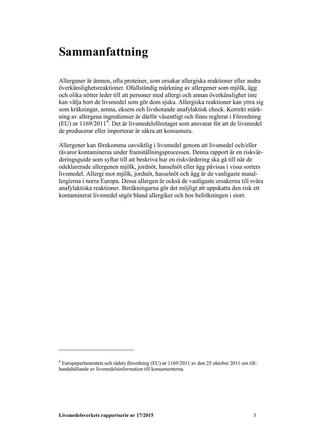### **Sammanfattning**

Allergener är ämnen, ofta proteiner, som orsakar allergiska reaktioner eller andra överkänslighetsreaktioner. Ofullständig märkning av allergener som mjölk, ägg och olika nötter leder till att personer med allergi och annan överkänslighet inte kan välja bort de livsmedel som gör dom sjuka. Allergiska reaktioner kan yttra sig som kräkningar, astma, eksem och livshotande anafylaktisk chock. Korrekt märkning av allergena ingredienser är därför väsentligt och finns reglerat i Förordning  $(EU)$  nr 1169/2011<sup>[4](#page-2-1)</sup>. Det är livsmedelsföretaget som ansvarar för att de livsmedel de producerar eller importerar är säkra att konsumera.

Allergener kan förekomma oavsiktlig i livsmedel genom att livsmedel och/eller råvaror kontamineras under framställningsprocessen. Denna rapport är en riskvärderingsguide som syftar till att beskriva hur en riskvärdering ska gå till när de odeklarerade allergenen mjölk, jordnöt, hasselnöt eller ägg påvisas i vissa sorters livsmedel. Allergi mot mjölk, jordnöt, hasselnöt och ägg är de vanligaste matallergierna i norra Europa. Dessa allergen är också de vanligaste orsakerna till svåra anafylaktiska reaktioner. Beräkningarna gör det möjligt att uppskatta den risk ett kontaminerat livsmedel utgör bland allergiker och hos befolkningen i stort.

 $\overline{a}$ 

<sup>4</sup> Europaparlamentets och rådets förordning (EU) nr 1169/2011 av den 25 oktober 2011 om tillhandahållande av livsmedelsinformation till konsumenterna.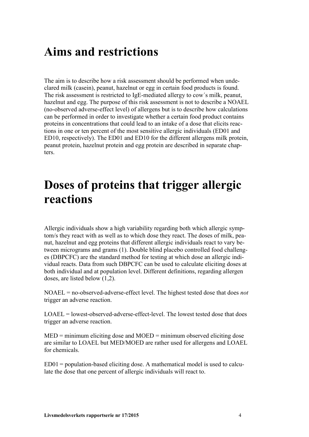### **Aims and restrictions**

The aim is to describe how a risk assessment should be performed when undeclared milk (casein), peanut, hazelnut or egg in certain food products is found. The risk assessment is restricted to IgE-mediated allergy to cow´s milk, peanut, hazelnut and egg. The purpose of this risk assessment is not to describe a NOAEL (no-observed adverse-effect level) of allergens but is to describe how calculations can be performed in order to investigate whether a certain food product contains proteins in concentrations that could lead to an intake of a dose that elicits reactions in one or ten percent of the most sensitive allergic individuals (ED01 and ED10, respectively). The ED01 and ED10 for the different allergens milk protein, peanut protein, hazelnut protein and egg protein are described in separate chapters.

### **Doses of proteins that trigger allergic reactions**

Allergic individuals show a high variability regarding both which allergic symptom/s they react with as well as to which dose they react. The doses of milk, peanut, hazelnut and egg proteins that different allergic individuals react to vary between micrograms and grams (1). Double blind placebo controlled food challenges (DBPCFC) are the standard method for testing at which dose an allergic individual reacts. Data from such DBPCFC can be used to calculate eliciting doses at both individual and at population level. Different definitions, regarding allergen doses, are listed below (1,2).

NOAEL = no-observed-adverse-effect level. The highest tested dose that does *not* trigger an adverse reaction.

LOAEL = lowest-observed-adverse-effect-level. The lowest tested dose that does trigger an adverse reaction.

 $MED = minimum$  eliciting dose and  $MOED =$  minimum observed eliciting dose are similar to LOAEL but MED/MOED are rather used for allergens and LOAEL for chemicals.

ED01 = population-based eliciting dose. A mathematical model is used to calculate the dose that one percent of allergic individuals will react to.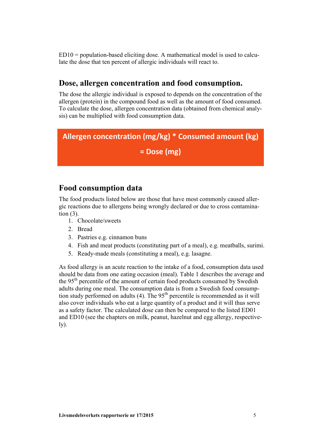$ED10 =$  population-based eliciting dose. A mathematical model is used to calculate the dose that ten percent of allergic individuals will react to.

#### **Dose, allergen concentration and food consumption.**

The dose the allergic individual is exposed to depends on the concentration of the allergen (protein) in the compound food as well as the amount of food consumed. To calculate the dose, allergen concentration data (obtained from chemical analysis) can be multiplied with food consumption data.

### **Allergen concentration (mg/kg) \* Consumed amount (kg)**

#### **= Dose (mg)**

#### **Food consumption data**

The food products listed below are those that have most commonly caused allergic reactions due to allergens being wrongly declared or due to cross contamination (3).

- 1. Chocolate/sweets
- 2. Bread
- 3. Pastries e.g. cinnamon buns
- 4. Fish and meat products (constituting part of a meal), e.g. meatballs, surimi.
- 5. Ready-made meals (constituting a meal), e.g. lasagne.

As food allergy is an acute reaction to the intake of a food, consumption data used should be data from one eating occasion (meal). Table 1 describes the average and the 95<sup>th</sup> percentile of the amount of certain food products consumed by Swedish adults during one meal. The consumption data is from a Swedish food consumption study performed on adults  $(4)$ . The 95<sup>th</sup> percentile is recommended as it will also cover individuals who eat a large quantity of a product and it will thus serve as a safety factor. The calculated dose can then be compared to the listed ED01 and ED10 (see the chapters on milk, peanut, hazelnut and egg allergy, respective- $1y)$ .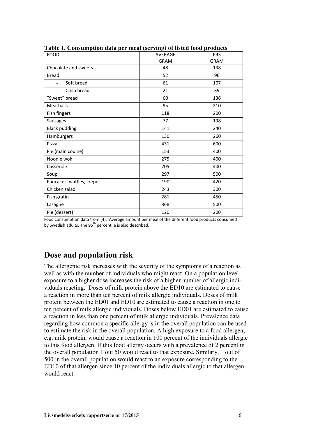| <b>FOOD</b>                   | —<br>AVERAGE | P95         |
|-------------------------------|--------------|-------------|
|                               | <b>GRAM</b>  | <b>GRAM</b> |
| Chocolate and sweets          | 48           | 138         |
| <b>Bread</b>                  | 52           | 96          |
| Soft bread<br>$\blacksquare$  | 61           | 107         |
| Crisp bread<br>$\overline{a}$ | 21           | 39          |
| "Sweet" bread                 | 60           | 136         |
| Meatballs                     | 95           | 210         |
| Fish fingers                  | 118          | 200         |
| <b>Sausages</b>               | 77           | 198         |
| <b>Black pudding</b>          | 141          | 240         |
| Hamburgers                    | 130          | 260         |
| Pizza                         | 431          | 600         |
| Pie (main course)             | 153          | 400         |
| Noodle wok                    | 275          | 400         |
| Casserole                     | 205          | 400         |
| Soup                          | 297          | 500         |
| Pancakes, waffles, crepes     | 190          | 420         |
| Chicken salad                 | 243          | 300         |
| Fish gratin                   | 281          | 450         |
| Lasagne                       | 368          | 500         |
| Pie (dessert)                 | 120          | 200         |

**Table 1. Consumption data per meal (serving) of listed food products**

Food consumption data from (4). Average amount per meal of the different food products consumed by Swedish adults. The 95<sup>th</sup> percentile is also described.

#### **Dose and population risk**

The allergenic risk increases with the severity of the symptoms of a reaction as well as with the number of individuals who might react. On a population level, exposure to a higher dose increases the risk of a higher number of allergic individuals reacting. Doses of milk protein above the ED10 are estimated to cause a reaction in more than ten percent of milk allergic individuals. Doses of milk protein between the ED01 and ED10 are estimated to cause a reaction in one to ten percent of milk allergic individuals. Doses below ED01 are estimated to cause a reaction in less than one percent of milk allergic individuals. Prevalence data regarding how common a specific allergy is in the overall population can be used to estimate the risk in the overall population. A high exposure to a food allergen, e.g. milk protein, would cause a reaction in 100 percent of the individuals allergic to this food allergen. If this food allergy occurs with a prevalence of 2 percent in the overall population 1 out 50 would react to that exposure. Similary, 1 out of 500 in the overall population would react to an exposure corresponding to the ED10 of that allergen since 10 percent of the individuals allergic to that allergen would react.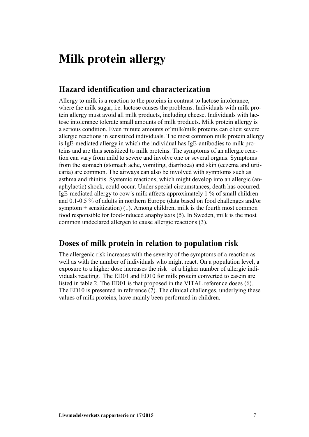### **Milk protein allergy**

#### **Hazard identification and characterization**

Allergy to milk is a reaction to the proteins in contrast to lactose intolerance, where the milk sugar, i.e. lactose causes the problems. Individuals with milk protein allergy must avoid all milk products, including cheese. Individuals with lactose intolerance tolerate small amounts of milk products. Milk protein allergy is a serious condition. Even minute amounts of milk/milk proteins can elicit severe allergic reactions in sensitized individuals. The most common milk protein allergy is IgE-mediated allergy in which the individual has IgE-antibodies to milk proteins and are thus sensitized to milk proteins. The symptoms of an allergic reaction can vary from mild to severe and involve one or several organs. Symptoms from the stomach (stomach ache, vomiting, diarrhoea) and skin (eczema and urticaria) are common. The airways can also be involved with symptoms such as asthma and rhinitis. Systemic reactions, which might develop into an allergic (anaphylactic) shock, could occur. Under special circumstances, death has occurred. IgE-mediated allergy to cow´s milk affects approximately 1 % of small children and 0.1-0.5 % of adults in northern Europe (data based on food challenges and/or symptom + sensitization) (1). Among children, milk is the fourth most common food responsible for food-induced anaphylaxis (5). In Sweden, milk is the most common undeclared allergen to cause allergic reactions (3).

#### **Doses of milk protein in relation to population risk**

The allergenic risk increases with the severity of the symptoms of a reaction as well as with the number of individuals who might react. On a population level, a exposure to a higher dose increases the risk of a higher number of allergic individuals reacting. The ED01 and ED10 for milk protein converted to casein are listed in table 2. The ED01 is that proposed in the VITAL reference doses (6). The ED10 is presented in reference (7). The clinical challenges, underlying these values of milk proteins, have mainly been performed in children.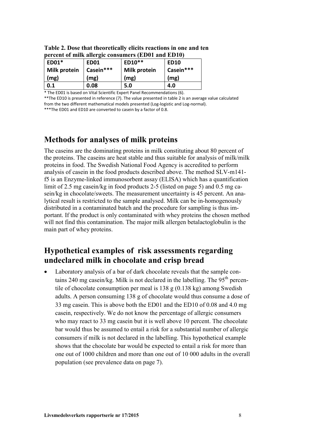| percent of hink anergic consumers (EDUT and EDTU) |             |              |             |
|---------------------------------------------------|-------------|--------------|-------------|
| ED01*                                             | <b>ED01</b> | ED10**       | <b>ED10</b> |
| <b>Milk protein</b>                               | Casein***   | Milk protein | Casein***   |
| (mg)                                              | (mg)        | (mg)         | (mg)        |
| 0.1                                               | 0.08        | 5.0          | 4.0         |

**Table 2. Dose that theoretically elicits reactions in one and ten percent of milk allergic consumers (ED01 and ED10)**

\* The ED01 is based on Vital Scientific Expert Panel Recommendations (6).

\*\*The ED10 is presented in reference (7). The value presented in table 2 is an average value calculated from the two different mathematical models presented (Log-logistic and Log-normal).

\*\*\*The ED01 and ED10 are converted to casein by a factor of 0.8.

#### **Methods for analyses of milk proteins**

The caseins are the dominating proteins in milk constituting about 80 percent of the proteins. The caseins are heat stable and thus suitable for analysis of milk/milk proteins in food. The Swedish National Food Agency is accredited to perform analysis of casein in the food products described above. The method SLV-m141 f5 is an Enzyme-linked immunosorbent assay (ELISA) which has a quantification limit of 2.5 mg casein/kg in food products 2-5 (listed on page 5) and 0.5 mg casein/kg in chocolate/sweets. The measurement uncertainty is 45 percent. An analytical result is restricted to the sample analysed. Milk can be in-homogenously distributed in a contaminated batch and the procedure for sampling is thus important. If the product is only contaminated with whey proteins the chosen method will not find this contamination. The major milk allergen betalactoglobulin is the main part of whey proteins.

#### **Hypothetical examples of risk assessments regarding undeclared milk in chocolate and crisp bread**

Laboratory analysis of a bar of dark chocolate reveals that the sample contains 240 mg casein/kg. Milk is not declared in the labelling. The  $95<sup>th</sup>$  percentile of chocolate consumption per meal is 138 g (0.138 kg) among Swedish adults. A person consuming 138 g of chocolate would thus consume a dose of 33 mg casein. This is above both the ED01 and the ED10 of 0.08 and 4.0 mg casein, respectively. We do not know the percentage of allergic consumers who may react to 33 mg casein but it is well above 10 percent. The chocolate bar would thus be assumed to entail a risk for a substantial number of allergic consumers if milk is not declared in the labelling. This hypothetical example shows that the chocolate bar would be expected to entail a risk for more than one out of 1000 children and more than one out of 10 000 adults in the overall population (see prevalence data on page 7).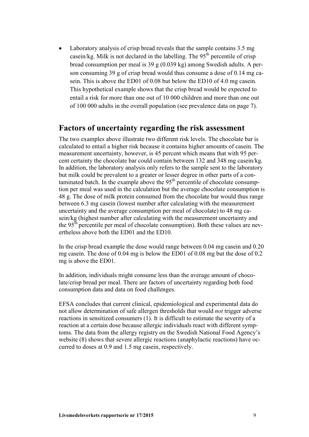Laboratory analysis of crisp bread reveals that the sample contains 3.5 mg casein/kg. Milk is not declared in the labelling. The  $95<sup>th</sup>$  percentile of crisp bread consumption per meal is 39 g (0.039 kg) among Swedish adults. A person consuming 39 g of crisp bread would thus consume a dose of 0.14 mg casein. This is above the ED01 of 0.08 but below the ED10 of 4.0 mg casein. This hypothetical example shows that the crisp bread would be expected to entail a risk for more than one out of 10 000 children and more than one out of 100 000 adults in the overall population (see prevalence data on page 7).

#### **Factors of uncertainty regarding the risk assessment**

The two examples above illustrate two different risk levels. The chocolate bar is calculated to entail a higher risk because it contains higher amounts of casein. The measurement uncertainty, however, is 45 percent which means that with 95 percent certainty the chocolate bar could contain between 132 and 348 mg casein/kg. In addition, the laboratory analysis only refers to the sample sent to the laboratory but milk could be prevalent to a greater or lesser degree in other parts of a contaminated batch. In the example above the  $95<sup>th</sup>$  percentile of chocolate consumption per meal was used in the calculation but the average chocolate consumption is 48 g. The dose of milk protein consumed from the chocolate bar would thus range between 6.3 mg casein (lowest number after calculating with the measurement uncertainty and the average consumption per meal of chocolate) to 48 mg casein/kg (highest number after calculating with the measurement uncertainty and the 95<sup>th</sup> percentile per meal of chocolate consumption). Both these values are nevertheless above both the ED01 and the ED10.

In the crisp bread example the dose would range between 0.04 mg casein and 0.20 mg casein. The dose of 0.04 mg is below the ED01 of 0.08 mg but the dose of 0.2 mg is above the ED01.

In addition, individuals might consume less than the average amount of chocolate/crisp bread per meal. There are factors of uncertainty regarding both food consumption data and data on food challenges.

EFSA concludes that current clinical, epidemiological and experimental data do not allow determination of safe allergen thresholds that would *not* trigger adverse reactions in sensitized consumers (1). It is difficult to estimate the severity of a reaction at a certain dose because allergic individuals react with different symptoms. The data from the allergy registry on the Swedish National Food Agency's website (8) shows that severe allergic reactions (anaphylactic reactions) have occurred to doses at 0.9 and 1.5 mg casein, respectively.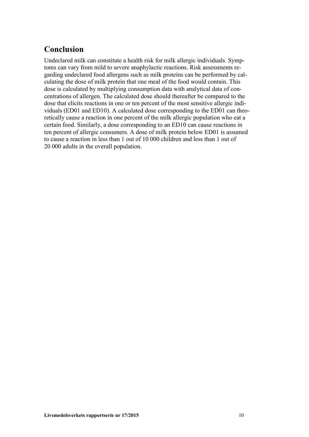### **Conclusion**

Undeclared milk can constitute a health risk for milk allergic individuals. Symptoms can vary from mild to severe anaphylactic reactions. Risk assessments regarding undeclared food allergens such as milk proteins can be performed by calculating the dose of milk protein that one meal of the food would contain. This dose is calculated by multiplying consumption data with analytical data of concentrations of allergen. The calculated dose should thereafter be compared to the dose that elicits reactions in one or ten percent of the most sensitive allergic individuals (ED01 and ED10). A calculated dose corresponding to the ED01 can theoretically cause a reaction in one percent of the milk allergic population who eat a certain food. Similarly, a dose corresponding to an ED10 can cause reactions in ten percent of allergic consumers. A dose of milk protein below ED01 is assumed to cause a reaction in less than 1 out of 10 000 children and less than 1 out of 20 000 adults in the overall population.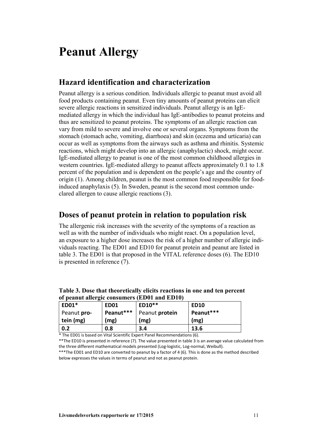### **Peanut Allergy**

#### **Hazard identification and characterization**

Peanut allergy is a serious condition. Individuals allergic to peanut must avoid all food products containing peanut. Even tiny amounts of peanut proteins can elicit severe allergic reactions in sensitized individuals. Peanut allergy is an IgEmediated allergy in which the individual has IgE-antibodies to peanut proteins and thus are sensitized to peanut proteins. The symptoms of an allergic reaction can vary from mild to severe and involve one or several organs. Symptoms from the stomach (stomach ache, vomiting, diarrhoea) and skin (eczema and urticaria) can occur as well as symptoms from the airways such as asthma and rhinitis. Systemic reactions, which might develop into an allergic (anaphylactic) shock, might occur. IgE-mediated allergy to peanut is one of the most common childhood allergies in western countries. IgE-mediated allergy to peanut affects approximately 0.1 to 1.8 percent of the population and is dependent on the people's age and the country of origin (1). Among children, peanut is the most common food responsible for foodinduced anaphylaxis (5). In Sweden, peanut is the second most common undeclared allergen to cause allergic reactions (3).

#### **Doses of peanut protein in relation to population risk**

The allergenic risk increases with the severity of the symptoms of a reaction as well as with the number of individuals who might react. On a population level, an exposure to a higher dose increases the risk of a higher number of allergic individuals reacting. The ED01 and ED10 for peanut protein and peanut are listed in table 3. The ED01 is that proposed in the VITAL reference doses (6). The ED10 is presented in reference (7).

| ED01*       | <b>ED01</b> | ED10**         | <b>ED10</b> |
|-------------|-------------|----------------|-------------|
| Peanut pro- | Peanut***   | Peanut protein | Peanut***   |
| tein (mg)   | (mg)        | (mg)           | (mg)        |
| 0.2         | 0.8         | 3.4            | 13.6        |

**Table 3. Dose that theoretically elicits reactions in one and ten percent of peanut allergic consumers (ED01 and ED10)**

\* The ED01 is based on Vital Scientific Expert Panel Recommendations (6).

\*\*The ED10 is presented in reference (7). The value presented in table 3 is an average value calculated from the three different mathematical models presented (Log-logistic, Log-normal, Weibull).

\*\*\*The ED01 and ED10 are converted to peanut by a factor of 4 (6). This is done as the method described below expresses the values in terms of peanut and not as peanut protein.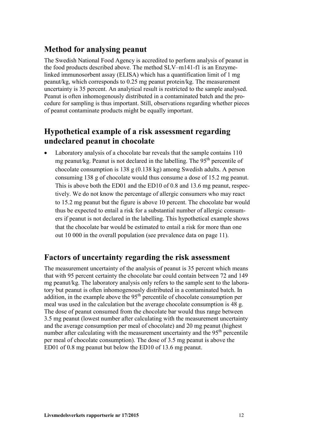#### **Method for analysing peanut**

The Swedish National Food Agency is accredited to perform analysis of peanut in the food products described above. The method SLV–m141-f1 is an Enzymelinked immunosorbent assay (ELISA) which has a quantification limit of 1 mg peanut/kg, which corresponds to 0.25 mg peanut protein/kg. The measurement uncertainty is 35 percent. An analytical result is restricted to the sample analysed. Peanut is often inhomogenously distributed in a contaminated batch and the procedure for sampling is thus important. Still, observations regarding whether pieces of peanut contaminate products might be equally important.

#### **Hypothetical example of a risk assessment regarding undeclared peanut in chocolate**

• Laboratory analysis of a chocolate bar reveals that the sample contains 110 mg peanut/kg. Peanut is not declared in the labelling. The 95<sup>th</sup> percentile of chocolate consumption is 138 g (0.138 kg) among Swedish adults. A person consuming 138 g of chocolate would thus consume a dose of 15.2 mg peanut. This is above both the ED01 and the ED10 of 0.8 and 13.6 mg peanut, respectively. We do not know the percentage of allergic consumers who may react to 15.2 mg peanut but the figure is above 10 percent. The chocolate bar would thus be expected to entail a risk for a substantial number of allergic consumers if peanut is not declared in the labelling. This hypothetical example shows that the chocolate bar would be estimated to entail a risk for more than one out 10 000 in the overall population (see prevalence data on page 11).

#### **Factors of uncertainty regarding the risk assessment**

The measurement uncertainty of the analysis of peanut is 35 percent which means that with 95 percent certainty the chocolate bar could contain between 72 and 149 mg peanut/kg. The laboratory analysis only refers to the sample sent to the laboratory but peanut is often inhomogenously distributed in a contaminated batch. In addition, in the example above the  $95<sup>th</sup>$  percentile of chocolate consumption per meal was used in the calculation but the average chocolate consumption is 48 g. The dose of peanut consumed from the chocolate bar would thus range between 3.5 mg peanut (lowest number after calculating with the measurement uncertainty and the average consumption per meal of chocolate) and 20 mg peanut (highest number after calculating with the measurement uncertainty and the  $95<sup>th</sup>$  percentile per meal of chocolate consumption). The dose of 3.5 mg peanut is above the ED01 of 0.8 mg peanut but below the ED10 of 13.6 mg peanut.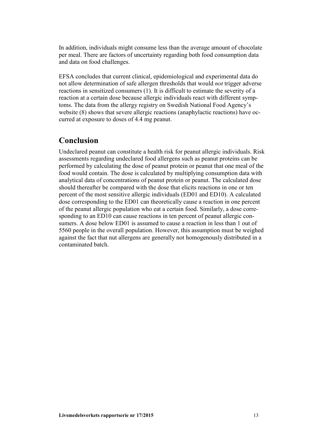In addition, individuals might consume less than the average amount of chocolate per meal. There are factors of uncertainty regarding both food consumption data and data on food challenges.

EFSA concludes that current clinical, epidemiological and experimental data do not allow determination of safe allergen thresholds that would *not* trigger adverse reactions in sensitized consumers (1). It is difficult to estimate the severity of a reaction at a certain dose because allergic individuals react with different symptoms. The data from the allergy registry on Swedish National Food Agency's website (8) shows that severe allergic reactions (anaphylactic reactions) have occurred at exposure to doses of 4.4 mg peanut.

#### **Conclusion**

Undeclared peanut can constitute a health risk for peanut allergic individuals. Risk assessments regarding undeclared food allergens such as peanut proteins can be performed by calculating the dose of peanut protein or peanut that one meal of the food would contain. The dose is calculated by multiplying consumption data with analytical data of concentrations of peanut protein or peanut. The calculated dose should thereafter be compared with the dose that elicits reactions in one or ten percent of the most sensitive allergic individuals (ED01 and ED10). A calculated dose corresponding to the ED01 can theoretically cause a reaction in one percent of the peanut allergic population who eat a certain food. Similarly, a dose corresponding to an ED10 can cause reactions in ten percent of peanut allergic consumers. A dose below ED01 is assumed to cause a reaction in less than 1 out of 5560 people in the overall population. However, this assumption must be weighed against the fact that nut allergens are generally not homogenously distributed in a contaminated batch.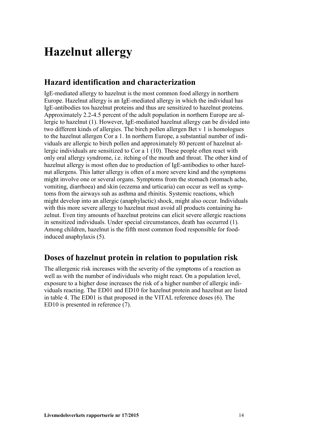### **Hazelnut allergy**

#### **Hazard identification and characterization**

IgE-mediated allergy to hazelnut is the most common food allergy in northern Europe. Hazelnut allergy is an IgE-mediated allergy in which the individual has IgE-antibodies tos hazelnut proteins and thus are sensitized to hazelnut proteins. Approximately 2.2-4.5 percent of the adult population in northern Europe are allergic to hazelnut (1). However, IgE-mediated hazelnut allergy can be divided into two different kinds of allergies. The birch pollen allergen Bet v 1 is homologues to the hazelnut allergen Cor a 1. In northern Europe, a substantial number of individuals are allergic to birch pollen and approximately 80 percent of hazelnut allergic individuals are sensitized to Cor a 1 (10). These people often react with only oral allergy syndrome, i.e. itching of the mouth and throat. The other kind of hazelnut allergy is most often due to production of IgE-antibodies to other hazelnut allergens. This latter allergy is often of a more severe kind and the symptoms might involve one or several organs. Symptoms from the stomach (stomach ache, vomiting, diarrhoea) and skin (eczema and urticaria) can occur as well as symptoms from the airways suh as asthma and rhinitis. Systemic reactions, which might develop into an allergic (anaphylactic) shock, might also occur. Individuals with this more severe allergy to hazelnut must avoid all products containing hazelnut. Even tiny amounts of hazelnut proteins can elicit severe allergic reactions in sensitized individuals. Under special circumstances, death has occurred (1). Among children, hazelnut is the fifth most common food responsible for foodinduced anaphylaxis (5).

#### **Doses of hazelnut protein in relation to population risk**

The allergenic risk increases with the severity of the symptoms of a reaction as well as with the number of individuals who might react. On a population level, exposure to a higher dose increases the risk of a higher number of allergic individuals reacting. The ED01 and ED10 for hazelnut protein and hazelnut are listed in table 4. The ED01 is that proposed in the VITAL reference doses (6). The ED10 is presented in reference (7).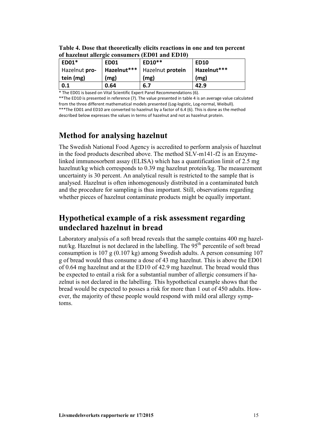| ED01*         | <b>ED01</b> | 01 nazelnut anergic consumers (EDUI and EDIU)<br>ED10** | <b>ED10</b> |
|---------------|-------------|---------------------------------------------------------|-------------|
| Hazelnut pro- |             | Hazelnut***   Hazelnut protein                          | Hazelnut*** |
| tein (mg)     | (mg)        | (mg)                                                    | (mg)        |
| 0.1           | 0.64        | 6.7                                                     | 42.9        |

**Table 4. Dose that theoretically elicits reactions in one and ten percent of hazelnut allergic consumers (ED01 and ED10)**

\* The ED01 is based on Vital Scientific Expert Panel Recommendations (6).

\*\*The ED10 is presented in reference (7). The value presented in table 4 is an average value calculated from the three different mathematical models presented (Log-logistic, Log-normal, Weibull). \*\*\*The ED01 and ED10 are converted to hazelnut by a factor of 6.4 (6). This is done as the method described below expresses the values in terms of hazelnut and not as hazelnut protein.

#### **Method for analysing hazelnut**

The Swedish National Food Agency is accredited to perform analysis of hazelnut in the food products described above. The method SLV-m141-f2 is an Enzymelinked immunosorbent assay (ELISA) which has a quantification limit of 2.5 mg hazelnut/kg which corresponds to 0.39 mg hazelnut protein/kg. The measurement uncertainty is 30 percent. An analytical result is restricted to the sample that is analysed. Hazelnut is often inhomogenously distributed in a contaminated batch and the procedure for sampling is thus important. Still, observations regarding whether pieces of hazelnut contaminate products might be equally important.

#### **Hypothetical example of a risk assessment regarding undeclared hazelnut in bread**

Laboratory analysis of a soft bread reveals that the sample contains 400 mg hazelnut/kg. Hazelnut is not declared in the labelling. The  $95<sup>th</sup>$  percentile of soft bread consumption is 107 g (0.107 kg) among Swedish adults. A person consuming 107 g of bread would thus consume a dose of 43 mg hazelnut. This is above the ED01 of 0.64 mg hazelnut and at the ED10 of 42.9 mg hazelnut. The bread would thus be expected to entail a risk for a substantial number of allergic consumers if hazelnut is not declared in the labelling. This hypothetical example shows that the bread would be expected to posses a risk for more than 1 out of 450 adults. However, the majority of these people would respond with mild oral allergy symptoms.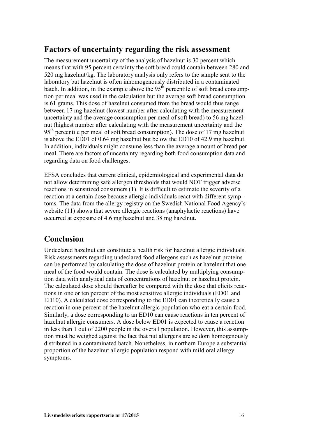#### **Factors of uncertainty regarding the risk assessment**

The measurement uncertainty of the analysis of hazelnut is 30 percent which means that with 95 percent certainty the soft bread could contain between 280 and 520 mg hazelnut/kg. The laboratory analysis only refers to the sample sent to the laboratory but hazelnut is often inhomogenously distributed in a contaminated batch. In addition, in the example above the  $95<sup>th</sup>$  percentile of soft bread consumption per meal was used in the calculation but the average soft bread consumption is 61 grams. This dose of hazelnut consumed from the bread would thus range between 17 mg hazelnut (lowest number after calculating with the measurement uncertainty and the average consumption per meal of soft bread) to 56 mg hazelnut (highest number after calculating with the measurement uncertainty and the  $95<sup>th</sup>$  percentile per meal of soft bread consumption). The dose of 17 mg hazelnut is above the ED01 of 0.64 mg hazelnut but below the ED10 of 42.9 mg hazelnut. In addition, individuals might consume less than the average amount of bread per meal. There are factors of uncertainty regarding both food consumption data and regarding data on food challenges.

EFSA concludes that current clinical, epidemiological and experimental data do not allow determining safe allergen thresholds that would NOT trigger adverse reactions in sensitized consumers (1). It is difficult to estimate the severity of a reaction at a certain dose because allergic individuals react with different symptoms. The data from the allergy registry on the Swedish National Food Agency's website (11) shows that severe allergic reactions (anaphylactic reactions) have occurred at exposure of 4.6 mg hazelnut and 38 mg hazelnut.

#### **Conclusion**

Undeclared hazelnut can constitute a health risk for hazelnut allergic individuals. Risk assessments regarding undeclared food allergens such as hazelnut proteins can be performed by calculating the dose of hazelnut protein or hazelnut that one meal of the food would contain. The dose is calculated by multiplying consumption data with analytical data of concentrations of hazelnut or hazelnut protein. The calculated dose should thereafter be compared with the dose that elicits reactions in one or ten percent of the most sensitive allergic individuals (ED01 and ED10). A calculated dose corresponding to the ED01 can theoretically cause a reaction in one percent of the hazelnut allergic population who eat a certain food. Similarly, a dose corresponding to an ED10 can cause reactions in ten percent of hazelnut allergic consumers. A dose below ED01 is expected to cause a reaction in less than 1 out of 2200 people in the overall population. However, this assumption must be weighed against the fact that nut allergens are seldom homogenously distributed in a contaminated batch. Nonetheless, in northern Europe a substantial proportion of the hazelnut allergic population respond with mild oral allergy symptoms.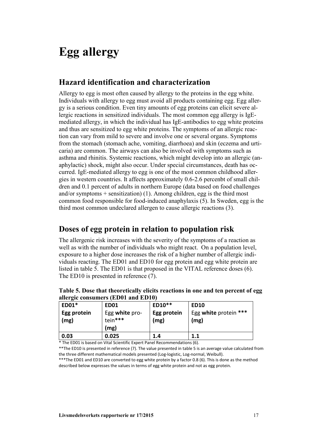## **Egg allergy**

#### **Hazard identification and characterization**

Allergy to egg is most often caused by allergy to the proteins in the egg white. Individuals with allergy to egg must avoid all products containing egg. Egg allergy is a serious condition. Even tiny amounts of egg proteins can elicit severe allergic reactions in sensitized individuals. The most common egg allergy is IgEmediated allergy, in which the individual has IgE-antibodies to egg white proteins and thus are sensitized to egg white proteins. The symptoms of an allergic reaction can vary from mild to severe and involve one or several organs. Symptoms from the stomach (stomach ache, vomiting, diarrhoea) and skin (eczema and urticaria) are common. The airways can also be involved with symptoms such as asthma and rhinitis. Systemic reactions, which might develop into an allergic (anaphylactic) shock, might also occur. Under special circumstances, death has occurred. IgE-mediated allergy to egg is one of the most common childhood allergies in western countries. It affects approximately 0.6-2.6 percenbt of small children and 0.1 percent of adults in northern Europe (data based on food challenges and/or symptoms  $+$  sensitization) (1). Among children, egg is the third most common food responsible for food-induced anaphylaxis (5). In Sweden, egg is the third most common undeclared allergen to cause allergic reactions (3).

#### **Doses of egg protein in relation to population risk**

The allergenic risk increases with the severity of the symptoms of a reaction as well as with the number of individuals who might react. On a population level, exposure to a higher dose increases the risk of a higher number of allergic individuals reacting. The ED01 and ED10 for egg protein and egg white protein are listed in table 5. The ED01 is that proposed in the VITAL reference doses (6). The ED10 is presented in reference (7).

| ED01*               | <b>ED01</b>                       | ED10**              | <b>ED10</b>                   |
|---------------------|-----------------------------------|---------------------|-------------------------------|
| Egg protein<br>(mg) | Egg white pro-<br>tein***<br>(mg) | Egg protein<br>(mg) | Egg white protein ***<br>(mg) |
| 0.03                | 0.025                             | 1.4                 | 1.1                           |

**Table 5. Dose that theoretically elicits reactions in one and ten percent of egg allergic consumers (ED01 and ED10)**

\* The ED01 is based on Vital Scientific Expert Panel Recommendations (6).

\*\*The ED10 is presented in reference (7). The value presented in table 5 is an average value calculated from the three different mathematical models presented (Log-logistic, Log-normal, Weibull).

\*\*\*The ED01 and ED10 are converted to egg white protein by a factor 0.8 (6). This is done as the method described below expresses the values in terms of egg white protein and not as egg protein.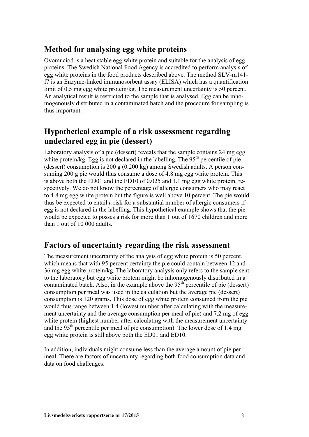#### **Method for analysing egg white proteins**

Ovomuciod is a heat stable egg white protein and suitable for the analysis of egg proteins. The Swedish National Food Agency is accredited to perform analysis of egg white proteins in the food products described above. The method SLV-m141 f7 is an Enzyme-linked immunosorbent assay (ELISA) which has a quantification limit of 0.5 mg egg white protein/kg. The measurement uncertainty is 50 percent. An analytical result is restricted to the sample that is analysed. Egg can be inhomogenously distributed in a contaminated batch and the procedure for sampling is thus important.

#### **Hypothetical example of a risk assessment regarding undeclared egg in pie (dessert)**

Laboratory analysis of a pie (dessert) reveals that the sample contains 24 mg egg white protein/kg. Egg is not declared in the labelling. The  $95<sup>th</sup>$  percentile of pie (dessert) consumption is 200 g (0.200 kg) among Swedish adults. A person consuming 200 g pie would thus consume a dose of 4.8 mg egg white protein. This is above both the ED01 and the ED10 of 0.025 and 1.1 mg egg white protein, respectively. We do not know the percentage of allergic consumers who may react to 4.8 mg egg white protein but the figure is well above 10 percent. The pie would thus be expected to entail a risk for a substantial number of allergic consumers if egg is not declared in the labelling. This hypothetical example shows that the pie would be expected to posses a risk for more than 1 out of 1670 children and more than 1 out of 10 000 adults.

#### **Factors of uncertainty regarding the risk assessment**

The measurement uncertainty of the analysis of egg white protein is 50 percent, which means that with 95 percent certainty the pie could contain between 12 and 36 mg egg white protein/kg. The laboratory analysis only refers to the sample sent to the laboratory but egg white protein might be inhomogenously distributed in a contaminated batch. Also, in the example above the  $95<sup>th</sup>$  percentile of pie (dessert) consumption per meal was used in the calculation but the average pie (dessert) consumption is 120 grams. This dose of egg white protein consumed from the pie would thus range between 1.4 (lowest number after calculating with the measurement uncertainty and the average consumption per meal of pie) and 7.2 mg of egg white protein (highest number after calculating with the measurement uncertainty and the  $95<sup>th</sup>$  percentile per meal of pie consumption). The lower dose of 1.4 mg egg white protein is still above both the ED01 and ED10.

In addition, individuals might consume less than the average amount of pie per meal. There are factors of uncertainty regarding both food consumption data and data on food challenges.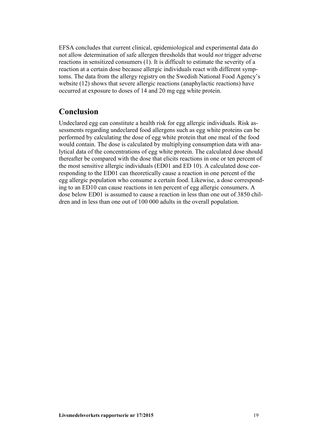EFSA concludes that current clinical, epidemiological and experimental data do not allow determination of safe allergen thresholds that would *not* trigger adverse reactions in sensitized consumers (1). It is difficult to estimate the severity of a reaction at a certain dose because allergic individuals react with different symptoms. The data from the allergy registry on the Swedish National Food Agency's website (12) shows that severe allergic reactions (anaphylactic reactions) have occurred at exposure to doses of 14 and 20 mg egg white protein.

#### **Conclusion**

Undeclared egg can constitute a health risk for egg allergic individuals. Risk assessments regarding undeclared food allergens such as egg white proteins can be performed by calculating the dose of egg white protein that one meal of the food would contain. The dose is calculated by multiplying consumption data with analytical data of the concentrations of egg white protein. The calculated dose should thereafter be compared with the dose that elicits reactions in one or ten percent of the most sensitive allergic individuals (ED01 and ED 10). A calculated dose corresponding to the ED01 can theoretically cause a reaction in one percent of the egg allergic population who consume a certain food. Likewise, a dose corresponding to an ED10 can cause reactions in ten percent of egg allergic consumers. A dose below ED01 is assumed to cause a reaction in less than one out of 3850 children and in less than one out of 100 000 adults in the overall population.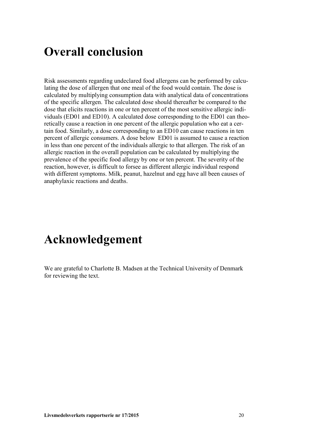### **Overall conclusion**

Risk assessments regarding undeclared food allergens can be performed by calculating the dose of allergen that one meal of the food would contain. The dose is calculated by multiplying consumption data with analytical data of concentrations of the specific allergen. The calculated dose should thereafter be compared to the dose that elicits reactions in one or ten percent of the most sensitive allergic individuals (ED01 and ED10). A calculated dose corresponding to the ED01 can theoretically cause a reaction in one percent of the allergic population who eat a certain food. Similarly, a dose corresponding to an ED10 can cause reactions in ten percent of allergic consumers. A dose below ED01 is assumed to cause a reaction in less than one percent of the individuals allergic to that allergen. The risk of an allergic reaction in the overall population can be calculated by multiplying the prevalence of the specific food allergy by one or ten percent. The severity of the reaction, however, is difficult to forsee as different allergic individual respond with different symptoms. Milk, peanut, hazelnut and egg have all been causes of anaphylaxic reactions and deaths.

### **Acknowledgement**

We are grateful to Charlotte B. Madsen at the Technical University of Denmark for reviewing the text.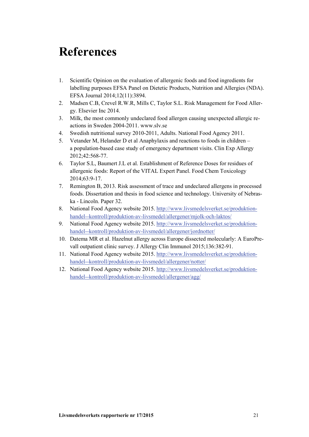### **References**

- 1. Scientific Opinion on the evaluation of allergenic foods and food ingredients for labelling purposes EFSA Panel on Dietetic Products, Nutrition and Allergies (NDA). EFSA Journal 2014;12(11):3894.
- 2. Madsen C.B, Crevel R.W.R, Mills C, Taylor S.L. Risk Management for Food Allergy. Elsevier Inc 2014.
- 3. Milk, the most commonly undeclared food allergen causing unexpected allergic reactions in Sweden 2004-2011. www.slv.se
- 4. Swedish nutritional survey 2010-2011, Adults. National Food Agency 2011.
- 5. Vetander M, Helander D et al Anaphylaxis and reactions to foods in children a population-based case study of emergency department visits. Clin Exp Allergy 2012;42:568-77.
- 6. Taylor S.L, Baumert J.L et al. Establishment of Reference Doses for residues of allergenic foods: Report of the VITAL Expert Panel. Food Chem Toxicology 2014;63:9-17.
- 7. Remington B, 2013. Risk assessment of trace and undeclared allergens in processed foods. Dissertation and thesis in food science and technology. University of Nebraska - Lincoln. Paper 32.
- 8. National Food Agency website 2015. [http://www.livsmedelsverket.se/produktion](http://www.livsmedelsverket.se/produktion-handel--kontroll/produktion-av-livsmedel/allergener/mjolk-och-laktos/)[handel--kontroll/produktion-av-livsmedel/allergener/mjolk-och-laktos/](http://www.livsmedelsverket.se/produktion-handel--kontroll/produktion-av-livsmedel/allergener/mjolk-och-laktos/)
- 9. National Food Agency website 2015. [http://www.livsmedelsverket.se/produktion](http://www.livsmedelsverket.se/produktion-handel--kontroll/produktion-av-livsmedel/allergener/jordnotter/)[handel--kontroll/produktion-av-livsmedel/allergener/jordnotter/](http://www.livsmedelsverket.se/produktion-handel--kontroll/produktion-av-livsmedel/allergener/jordnotter/)
- 10. Datema MR et al. Hazelnut allergy across Europe dissected molecularly: A EuroPrevall outpatient clinic survey. J Allergy Clin Immunol 2015;136:382-91.
- 11. National Food Agency website 2015. [http://www.livsmedelsverket.se/produktion](http://www.livsmedelsverket.se/produktion-handel--kontroll/produktion-av-livsmedel/allergener/notter/)[handel--kontroll/produktion-av-livsmedel/allergener/notter/](http://www.livsmedelsverket.se/produktion-handel--kontroll/produktion-av-livsmedel/allergener/notter/)
- 12. National Food Agency website 2015. [http://www.livsmedelsverket.se/produktion](http://www.livsmedelsverket.se/produktion-handel--kontroll/produktion-av-livsmedel/allergener/agg/)[handel--kontroll/produktion-av-livsmedel/allergener/agg/](http://www.livsmedelsverket.se/produktion-handel--kontroll/produktion-av-livsmedel/allergener/agg/)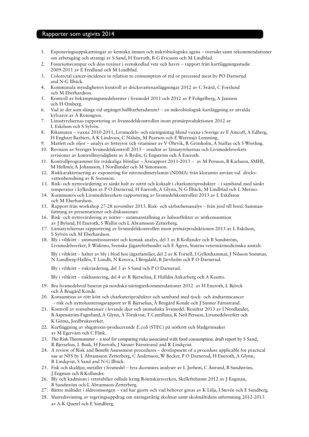#### Rapporter som utgivits 2014

- 1. Exponeringsuppskattningar av kemiska ämnen och mikrobiologiska agens översikt samt rekommendationer om arbetsgång och strategi av S Sand, H Eneroth, B-G Ericsson och M Lindblad.
- 2. Fusariumsvampar och dess toxiner i svenskodlad vete och havre rapport från kartläggningsstudie 2009-2011 av E Fredlund och M Lindblad.
- 3. Colorectal cancer-incidence in relation to consumption of red or precessed meat by PO Darnerud and N-G Ilbäck.
- 4. Kommunala myndigheters kontroll av dricksvattenanläggningar 2012 av C Svärd, C Forslund och M Eberhardson.
- 5. Kontroll av bekämpningsmedelsrester i livsmedel 2011 och 2012 av P Fohgelberg, A Jansson och H Omberg.
- 6. Vad är det som slängs vid utgånget hållbarhetsdatum? en mikrobiologisk kartläggning av utvalda kylvaror av Å Rosengren.
- 7. Länsstyrelsernas rapportering av livsmedelskontrollen inom primärproduktionen 2012 av L Eskilson och S Sylvén.
- 8. Riksmaten vuxna 2010-2011, Livsmedels- och näringsintag bland vuxna i Sverige av E Amcoff, A Edberg, H Enghart Barbieri, A K Lindroos, C Nälsén, M Pearson och E Warensjö Lemming.
- 9. Matfett och oljor analys av fettsyror och vitaminer av V Öhrvik, R Grönholm, A Staffas och S Wretling.
- 10. Revision av Sveriges livsmedelskontroll 2013 resultat av länsstyrelsernas och Livsmedelsverkets revisioner av kontrollmyndighete av A Rydin, G Engström och Å Eneroth.
- 11. Kontrollprogrammet för tvåskaliga blötdjur − Årsrapport 2011-2013 − av M Persson, B Karlsson, SMHI, M Hellmér, A Johansson, I Nordlander och M Simonsson.
- 12. Riskkarakterisering av exponering för nitrosodimetylamin (NDMA) från kloramin använt vid dricksvattenberedning av K Svensson.
- 13. Risk- och nyttovärdering av sänkt halt av nitrit och koksalt i charkuteriprodukter i samband med sänkt temperatur i kylkedjan av P O Darnerud, H Eneroth, A Glynn, N-G Ilbäck, M Lindblad och L Merino.
- 14. Kommuners och Livsmedelsverkets rapportering av livsmedelskontrollen 2013 av L Eskilsson och M Eberhardson.
- 15. Rapport från workshop 27-28 november 2013. Risk- och sårbarhetsanalys från jord till bord. Sammanfattning av presentationer och diskussioner.
- 16. Risk- och nyttovärdering av nötter sammanställning av hälsoeffekter av nötkonsumtion av J Bylund, H Eneroth, S Wallin och L Abramsson-Zetterberg.
- 17. Länsstyrelsernas rapportering av livsmedelskontrollen inom primärproduktionen 2013 av L Eskilson, S Sylvén och M Eberhardson.
- 18. Bly i viltkött ammunitionsrester och kemisk analys, del 1 av B Kollander och B Sundström, Livsmedelsverket, F Widemo, Svenska Jägareförbundet och E Ågren, Statens veterinärmedicinska anstalt.
	- Bly i viltkött halter av bly i blod hos jägarfamiljer, del 2 av K Forsell, I Gyllenhammar, J Nilsson Sommar, N Lundberg-Hallén, T Lundh, N Kotova, I Bergdahl, B Järvholm och P O Darnerud.
	- Bly i viltkött riskvärdering, del 3 av S Sand och P O Darnerud.
	- Bly i viltkött riskhantering, del 4 av R Bjerselius, E Halldin Ankarberg och A Kautto.
- 19. Bra livsmedelsval baserat på nordiska näringsrekommendationer 2012 av H Eneroth, L Björck och Å Brugård Konde.
- 20. Konsumtion av rött kött och charkuteriprodukter och samband med tjock- och ändtarmscancer - risk och nyttohanteringsrapport av R Bjerselius, Å Brugård Konde och J Sanner Färnstrand.
- 21. Kontroll av restsubstanser i levande djur och animaliska livsmedel. Resultat 2013 av I Nordlander, B Aspenström-Fagerlund, A Glynn, A Törnkvist, T Cantillana, K Neil Persson, Livsmedelsverket och K Girma, Jordbruksverket.
- 22. Kartläggning av shigatoxin-producerande *E.coli* (STEC) på nötkött och bladgrönsaker av M Egervärn och C Flink.
- 23. The Risk Thermometer a tool for comparing risks associated with food consumption, draft report by S Sand, R Bjerselius, L Busk, H Eneroth, J Sanner Färnstrand and R Lindqvist.
- 24. A review of Risk and Benefit Assessment procedures development of a procedure applicable for practical use at NFS by L Abramsson Zetterberg, C Andersson, W Becker, P O Darnerud, H Eneroth, A Glynn, R Lindqvist, S Sand and N-G Ilbäck.
- 25. Fisk och skaldjur, metaller i livsmedel fyra dicenniers analyser av L Jorhem, C Åstrand, B Sundström, J Engman och B Kollander.
- 26. Bly och kadmium i vetetabilier odlade kring Rönnskärsverken, Skelleftehamn 2012 av J Engman, B Sundström och L Abramsson Zetterberg.
- 27. Bättre måltider i äldreomsorgen vad har gjorts och vad behöver göras av K Lilja, I Stevén och E Sundberg.
- 28. Slutredovisning av regeringsuppdrag om näringsriktig skolmat samt skolmåltidens utformning 2012-2013 av A-K Quetel och E Sundberg.